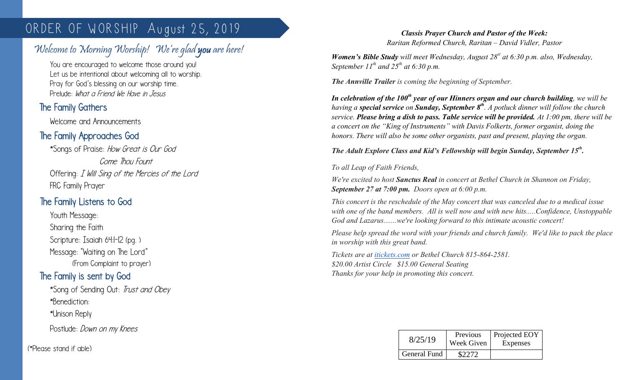# ORDER OF WORSHIP August 25, 2019

# Welcome to Morning Worship! We're glad you are here!

You are encouraged to welcome those around you! Let us be intentional about welcoming all to worship. Pray for God's blessing on our worship time. Prelude: What a Friend We Have in Jesus

# The Family Gathers

 $\overline{\phantom{a}}$ 

Welcome and Announcements

# The Family Approaches God

\*Songs of Praise: How Great is Our God Come Thou Fount Offering: I Will Sing of the Mercies of the Lord FRC Family Prayer

## The Family Listens to God

Youth Message: Sharing the Faith Scripture: Isaiah 64:1-12 (pg.) Message: "Waiting on The Lord" (From Complaint to prayer)

## The Family is sent by God

\*Song of Sending Out: Trust and Obey \*Benediction: \*Unison Reply Postlude: *Down on my Knees* 

(\*Please stand if able)

#### *Classis Prayer Church and Pastor of the Week: Raritan Reformed Church, Raritan – David Vidler, Pastor*

*Women's Bible Study will meet Wednesday, August 28st at 6:30 p.m. also, Wednesday, September 11th and 25th at 6:30 p.m.*

*The Annville Trailer is coming the beginning of September.* 

*In celebration of the 100th year of our Hinners organ and our church building, we will be having a special service on Sunday, September 8th. A potluck dinner will follow the church service. Please bring a dish to pass. Table service will be provided. At 1:00 pm, there will be a concert on the "King of Instruments" with Davis Folkerts, former organist, doing the honors. There will also be some other organists, past and present, playing the organ.* 

### *The Adult Explore Class and Kid's Fellowship will begin Sunday, September 15th .*

### *To all Leap of Faith Friends,*

*We're excited to host Sanctus Real in concert at Bethel Church in Shannon on Friday, September 27 at 7:00 pm. Doors open at 6:00 p.m.*

*This concert is the reschedule of the May concert that was canceled due to a medical issue with one of the band members. All is well now and with new hits.....Confidence, Unstoppable God and Lazarus.......we're looking forward to this intimate acoustic concert!*

*Please help spread the word with your friends and church family. We'd like to pack the place in worship with this great band.*

*Tickets are at [itickets.com](http://itickets.com/) or Bethel Church 815-864-2581. \$20.00 Artist Circle \$15.00 General Seating Thanks for your help in promoting this concert.*

| 8/25/19      | Previous<br>Week Given | Projected EOY<br>Expenses |
|--------------|------------------------|---------------------------|
| General Fund | \$2272                 |                           |